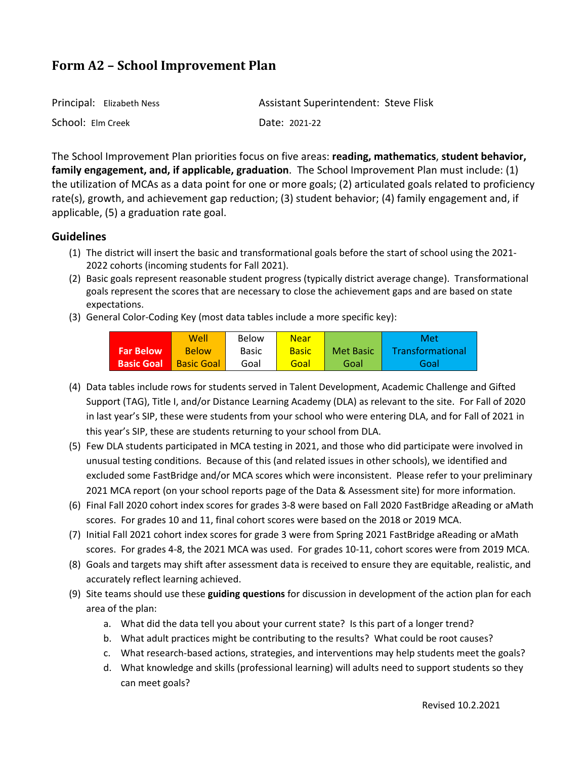| Principal: Elizabeth Ness | <b>Assistant Superintendent: Steve Flisk</b> |
|---------------------------|----------------------------------------------|
| School: Elm Creek         | Date: 2021-22                                |

The School Improvement Plan priorities focus on five areas: **reading, mathematics**, **student behavior, family engagement, and, if applicable, graduation**. The School Improvement Plan must include: (1) the utilization of MCAs as a data point for one or more goals; (2) articulated goals related to proficiency rate(s), growth, and achievement gap reduction; (3) student behavior; (4) family engagement and, if applicable, (5) a graduation rate goal.

## **Guidelines**

- (1) The district will insert the basic and transformational goals before the start of school using the 2021- 2022 cohorts (incoming students for Fall 2021).
- (2) Basic goals represent reasonable student progress (typically district average change). Transformational goals represent the scores that are necessary to close the achievement gaps and are based on state expectations.
- (3) General Color-Coding Key (most data tables include a more specific key):

|                   | Well              | Below        | <b>Near</b>  |           | Met              |
|-------------------|-------------------|--------------|--------------|-----------|------------------|
| <b>Far Below</b>  | <b>Below</b>      | <b>Basic</b> | <b>Basic</b> | Met Basic | Transformational |
| <b>Basic Goal</b> | <b>Basic Goal</b> | Goal         | Goal         | Goal      | Goal             |

- (4) Data tables include rows for students served in Talent Development, Academic Challenge and Gifted Support (TAG), Title I, and/or Distance Learning Academy (DLA) as relevant to the site. For Fall of 2020 in last year's SIP, these were students from your school who were entering DLA, and for Fall of 2021 in this year's SIP, these are students returning to your school from DLA.
- (5) Few DLA students participated in MCA testing in 2021, and those who did participate were involved in unusual testing conditions. Because of this (and related issues in other schools), we identified and excluded some FastBridge and/or MCA scores which were inconsistent. Please refer to your preliminary 2021 MCA report (on your school reports page of the Data & Assessment site) for more information.
- (6) Final Fall 2020 cohort index scores for grades 3-8 were based on Fall 2020 FastBridge aReading or aMath scores. For grades 10 and 11, final cohort scores were based on the 2018 or 2019 MCA.
- (7) Initial Fall 2021 cohort index scores for grade 3 were from Spring 2021 FastBridge aReading or aMath scores. For grades 4-8, the 2021 MCA was used. For grades 10-11, cohort scores were from 2019 MCA.
- (8) Goals and targets may shift after assessment data is received to ensure they are equitable, realistic, and accurately reflect learning achieved.
- (9) Site teams should use these **guiding questions** for discussion in development of the action plan for each area of the plan:
	- a. What did the data tell you about your current state? Is this part of a longer trend?
	- b. What adult practices might be contributing to the results? What could be root causes?
	- c. What research-based actions, strategies, and interventions may help students meet the goals?
	- d. What knowledge and skills (professional learning) will adults need to support students so they can meet goals?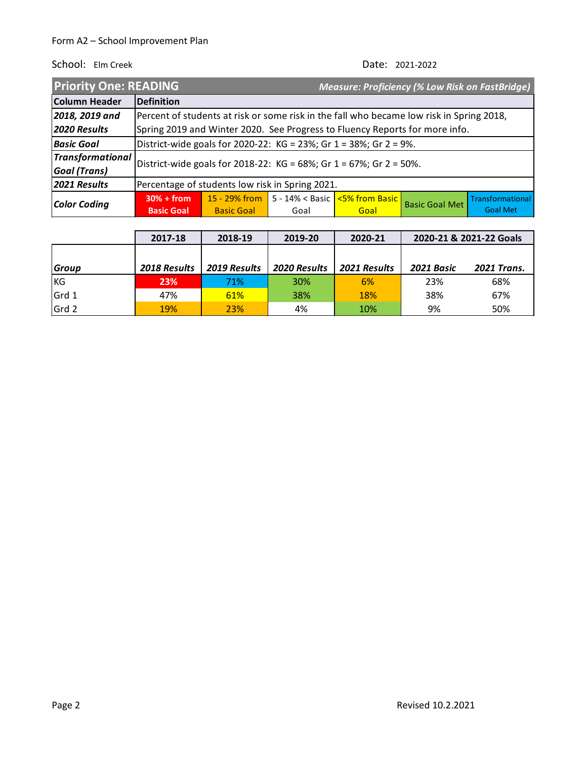| <b>Priority One: READING</b> |                                                                    |                                                                                          |                                                                 |      | <b>Measure: Proficiency (% Low Risk on FastBridge)</b> |                  |
|------------------------------|--------------------------------------------------------------------|------------------------------------------------------------------------------------------|-----------------------------------------------------------------|------|--------------------------------------------------------|------------------|
| Column Header                | Definition                                                         |                                                                                          |                                                                 |      |                                                        |                  |
| 2018, 2019 and               |                                                                    | Percent of students at risk or some risk in the fall who became low risk in Spring 2018, |                                                                 |      |                                                        |                  |
| 2020 Results                 |                                                                    | Spring 2019 and Winter 2020. See Progress to Fluency Reports for more info.              |                                                                 |      |                                                        |                  |
| <b>Basic Goal</b>            | District-wide goals for 2020-22: KG = 23%; Gr 1 = 38%; Gr 2 = 9%.  |                                                                                          |                                                                 |      |                                                        |                  |
| <b>Transformational</b>      | District-wide goals for 2018-22: KG = 68%; Gr 1 = 67%; Gr 2 = 50%. |                                                                                          |                                                                 |      |                                                        |                  |
| <b>Goal</b> (Trans)          |                                                                    |                                                                                          |                                                                 |      |                                                        |                  |
| 2021 Results                 | Percentage of students low risk in Spring 2021.                    |                                                                                          |                                                                 |      |                                                        |                  |
|                              | $30% + from$                                                       |                                                                                          | 15 - 29% from   5 - 14% < Basic $\sqrt{5\% \text{ from Basic}}$ |      | <b>Basic Goal Met</b>                                  | Transformational |
| Color Coding                 | <b>Basic Goal</b>                                                  | <b>Basic Goal</b>                                                                        | Goal                                                            | Goal |                                                        | <b>Goal Met</b>  |

|              | 2017-18      | 2018-19      | 2019-20      | 2020-21      |            | 2020-21 & 2021-22 Goals |
|--------------|--------------|--------------|--------------|--------------|------------|-------------------------|
|              |              |              |              |              |            |                         |
| <b>Group</b> | 2018 Results | 2019 Results | 2020 Results | 2021 Results | 2021 Basic | <b>2021 Trans.</b>      |
| <b>KG</b>    | 23%          | 71%          | <b>30%</b>   | 6%           | 23%        | 68%                     |
| Grd 1        | 47%          | 61%          | 38%          | <b>18%</b>   | 38%        | 67%                     |
| Grd 2        | 19%          | 23%          | 4%           | 10%          | 9%         | 50%                     |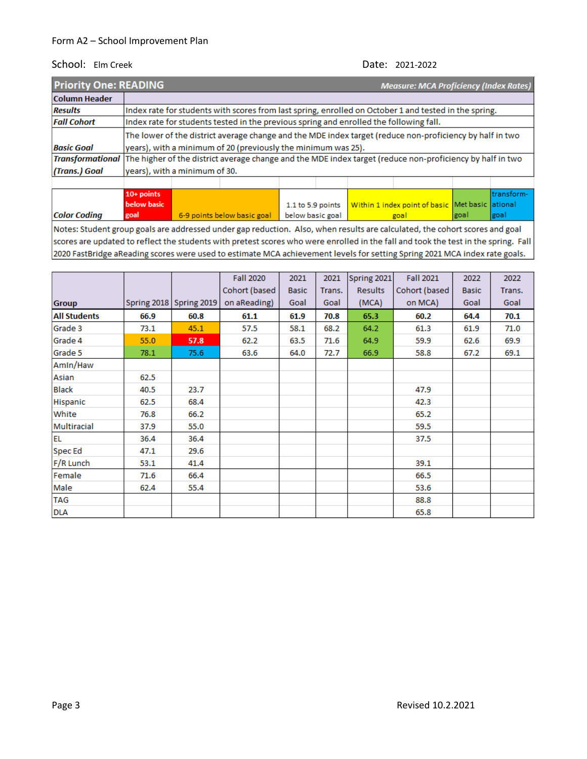| <b>Priority One: READING</b>                                                                                               | <b>Measure: MCA Proficiency (Index Rates)</b>                                                            |                                                                                                       |                                                               |  |  |  |  |  |  |
|----------------------------------------------------------------------------------------------------------------------------|----------------------------------------------------------------------------------------------------------|-------------------------------------------------------------------------------------------------------|---------------------------------------------------------------|--|--|--|--|--|--|
| <b>Column Header</b>                                                                                                       |                                                                                                          |                                                                                                       |                                                               |  |  |  |  |  |  |
| <b>Results</b>                                                                                                             |                                                                                                          | Index rate for students with scores from last spring, enrolled on October 1 and tested in the spring. |                                                               |  |  |  |  |  |  |
| <b>Fall Cohort</b>                                                                                                         |                                                                                                          | Index rate for students tested in the previous spring and enrolled the following fall.                |                                                               |  |  |  |  |  |  |
|                                                                                                                            | The lower of the district average change and the MDE index target (reduce non-proficiency by half in two |                                                                                                       |                                                               |  |  |  |  |  |  |
| <b>Basic Goal</b>                                                                                                          |                                                                                                          |                                                                                                       | years), with a minimum of 20 (previously the minimum was 25). |  |  |  |  |  |  |
| Transformational The higher of the district average change and the MDE index target (reduce non-proficiency by half in two |                                                                                                          |                                                                                                       |                                                               |  |  |  |  |  |  |
| (Trans.) Goal                                                                                                              |                                                                                                          | years), with a minimum of 30.                                                                         |                                                               |  |  |  |  |  |  |
|                                                                                                                            |                                                                                                          |                                                                                                       |                                                               |  |  |  |  |  |  |
|                                                                                                                            | .                                                                                                        |                                                                                                       |                                                               |  |  |  |  |  |  |

|                                                                                                                                   | $10+$ points |                                                |  |                                                                         |      | Itransform- |  |
|-----------------------------------------------------------------------------------------------------------------------------------|--------------|------------------------------------------------|--|-------------------------------------------------------------------------|------|-------------|--|
|                                                                                                                                   | below basic  |                                                |  | 1.1 to 5.9 points   Within 1 index point of basic   Met basic   ational |      |             |  |
| <b>Color Coding</b>                                                                                                               | goal         | 6-9 points below basic goal   below basic goal |  | goal                                                                    | goal | goal        |  |
| [Alaban Abrahambaning adalah adalah salah dan berbentuk termini Alah melanjuk dan berlembang dalam berbentuk dan berak dari berak |              |                                                |  |                                                                         |      |             |  |

Notes: Student group goals are addressed under gap reduction. Also, when results are calculated, the cohort scores and goal scores are updated to reflect the students with pretest scores who were enrolled in the fall and took the test in the spring. Fall 2020 FastBridge aReading scores were used to estimate MCA achievement levels for setting Spring 2021 MCA index rate goals.

|                     |             |             | <b>Fall 2020</b> | 2021         | 2021   | Spring 2021    | <b>Fall 2021</b> | 2022         | 2022   |
|---------------------|-------------|-------------|------------------|--------------|--------|----------------|------------------|--------------|--------|
|                     |             |             | Cohort (based    | <b>Basic</b> | Trans. | <b>Results</b> | Cohort (based    | <b>Basic</b> | Trans. |
| <b>Group</b>        | Spring 2018 | Spring 2019 | on aReading)     | Goal         | Goal   | (MCA)          | on MCA)          | Goal         | Goal   |
| <b>All Students</b> | 66.9        | 60.8        | 61.1             | 61.9         | 70.8   | 65.3           | 60.2             | 64.4         | 70.1   |
| Grade 3             | 73.1        | 45.1        | 57.5             | 58.1         | 68.2   | 64.2           | 61.3             | 61.9         | 71.0   |
| Grade 4             | 55.0        | 57.8        | 62.2             | 63.5         | 71.6   | 64.9           | 59.9             | 62.6         | 69.9   |
| Grade 5             | 78.1        | 75.6        | 63.6             | 64.0         | 72.7   | 66.9           | 58.8             | 67.2         | 69.1   |
| Amin/Haw            |             |             |                  |              |        |                |                  |              |        |
| Asian               | 62.5        |             |                  |              |        |                |                  |              |        |
| <b>Black</b>        | 40.5        | 23.7        |                  |              |        |                | 47.9             |              |        |
| Hispanic            | 62.5        | 68.4        |                  |              |        |                | 42.3             |              |        |
| White               | 76.8        | 66.2        |                  |              |        |                | 65.2             |              |        |
| Multiracial         | 37.9        | 55.0        |                  |              |        |                | 59.5             |              |        |
| <b>EL</b>           | 36.4        | 36.4        |                  |              |        |                | 37.5             |              |        |
| Spec Ed             | 47.1        | 29.6        |                  |              |        |                |                  |              |        |
| F/R Lunch           | 53.1        | 41.4        |                  |              |        |                | 39.1             |              |        |
| Female              | 71.6        | 66.4        |                  |              |        |                | 66.5             |              |        |
| Male                | 62.4        | 55.4        |                  |              |        |                | 53.6             |              |        |
| <b>TAG</b>          |             |             |                  |              |        |                | 88.8             |              |        |
| <b>DLA</b>          |             |             |                  |              |        |                | 65.8             |              |        |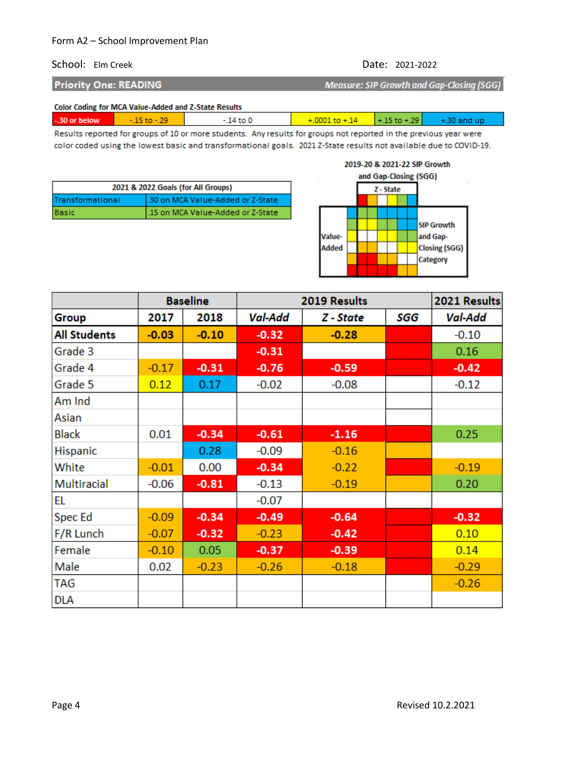# School: Elm Creek Date: 2021-2022

**Priority One: READING** 

Measure: SIP Growth and Gap-Closing (SGG)

Color Coding for MCA Value-Added and Z-State Results

| $+15$ to $+29$<br>-.30 or below<br>14 to 0<br>+30 and up<br>$+0001$ to $+14$<br>$-10 - 79$ |
|--------------------------------------------------------------------------------------------|
|--------------------------------------------------------------------------------------------|

Results reported for groups of 10 or more students. Any results for groups not reported in the previous year were color coded using the lowest basic and transformational goals. 2021 Z-State results not available due to COVID-19.

| 2021 & 2022 Goals (for All Groups) |                                   |  |  |  |
|------------------------------------|-----------------------------------|--|--|--|
| Transformational                   | .30 on MCA Value-Added or Z-State |  |  |  |
| Basic                              | .15 on MCA Value-Added or Z-State |  |  |  |



|                     |         | <b>Baseline</b> |         | 2019 Results |     | 2021 Results |  |
|---------------------|---------|-----------------|---------|--------------|-----|--------------|--|
| <b>Group</b>        | 2017    | 2018            | Val-Add | Z - State    | SGG | Val-Add      |  |
| <b>All Students</b> | $-0.03$ | $-0.10$         | $-0.32$ | $-0.28$      |     | $-0.10$      |  |
| Grade 3             |         |                 | $-0.31$ |              |     | 0.16         |  |
| Grade 4             | $-0.17$ | $-0.31$         | $-0.76$ | $-0.59$      |     | $-0.42$      |  |
| Grade 5             | 0.12    | 0.17            | $-0.02$ | $-0.08$      |     | $-0.12$      |  |
| Am Ind              |         |                 |         |              |     |              |  |
| Asian               |         |                 |         |              |     |              |  |
| <b>Black</b>        | 0.01    | $-0.34$         | $-0.61$ | $-1.16$      |     | 0.25         |  |
| Hispanic            |         | 0.28            | $-0.09$ | $-0.16$      |     |              |  |
| White               | $-0.01$ | 0.00            | $-0.34$ | $-0.22$      |     | $-0.19$      |  |
| Multiracial         | $-0.06$ | $-0.81$         | $-0.13$ | $-0.19$      |     | 0.20         |  |
| <b>EL</b>           |         |                 | $-0.07$ |              |     |              |  |
| <b>Spec Ed</b>      | $-0.09$ | $-0.34$         | $-0.49$ | $-0.64$      |     | $-0.32$      |  |
| F/R Lunch           | $-0.07$ | $-0.32$         | $-0.23$ | $-0.42$      |     | 0.10         |  |
| Female              | $-0.10$ | 0.05            | $-0.37$ | $-0.39$      |     | 0.14         |  |
| Male                | 0.02    | $-0.23$         | $-0.26$ | $-0.18$      |     | $-0.29$      |  |
| <b>TAG</b>          |         |                 |         |              |     | $-0.26$      |  |
| <b>DLA</b>          |         |                 |         |              |     |              |  |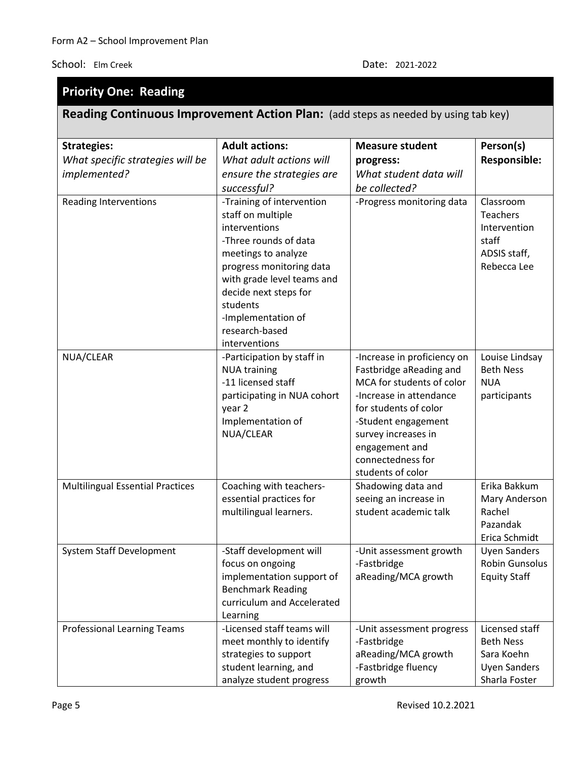# **Priority One: Reading**

# **Reading Continuous Improvement Action Plan:** (add steps as needed by using tab key)

| <b>Strategies:</b>                      | <b>Adult actions:</b>                                                                                                                                                                                                                                                   | <b>Measure student</b>                                                                                                                                                                                                                            | Person(s)                                                                                |
|-----------------------------------------|-------------------------------------------------------------------------------------------------------------------------------------------------------------------------------------------------------------------------------------------------------------------------|---------------------------------------------------------------------------------------------------------------------------------------------------------------------------------------------------------------------------------------------------|------------------------------------------------------------------------------------------|
| What specific strategies will be        | What adult actions will                                                                                                                                                                                                                                                 | progress:                                                                                                                                                                                                                                         | <b>Responsible:</b>                                                                      |
| implemented?                            | ensure the strategies are                                                                                                                                                                                                                                               | What student data will                                                                                                                                                                                                                            |                                                                                          |
|                                         | successful?                                                                                                                                                                                                                                                             | be collected?                                                                                                                                                                                                                                     |                                                                                          |
| <b>Reading Interventions</b>            | -Training of intervention<br>staff on multiple<br>interventions<br>-Three rounds of data<br>meetings to analyze<br>progress monitoring data<br>with grade level teams and<br>decide next steps for<br>students<br>-Implementation of<br>research-based<br>interventions | -Progress monitoring data                                                                                                                                                                                                                         | Classroom<br>Teachers<br>Intervention<br>staff<br>ADSIS staff,<br>Rebecca Lee            |
| NUA/CLEAR                               | -Participation by staff in<br><b>NUA training</b><br>-11 licensed staff<br>participating in NUA cohort<br>year 2<br>Implementation of<br>NUA/CLEAR                                                                                                                      | -Increase in proficiency on<br>Fastbridge aReading and<br>MCA for students of color<br>-Increase in attendance<br>for students of color<br>-Student engagement<br>survey increases in<br>engagement and<br>connectedness for<br>students of color | Louise Lindsay<br><b>Beth Ness</b><br><b>NUA</b><br>participants                         |
| <b>Multilingual Essential Practices</b> | Coaching with teachers-<br>essential practices for<br>multilingual learners.                                                                                                                                                                                            | Shadowing data and<br>seeing an increase in<br>student academic talk                                                                                                                                                                              | Erika Bakkum<br>Mary Anderson<br>Rachel<br>Pazandak<br>Erica Schmidt                     |
| <b>System Staff Development</b>         | -Staff development will<br>focus on ongoing<br>implementation support of<br><b>Benchmark Reading</b><br>curriculum and Accelerated<br>Learning                                                                                                                          | -Unit assessment growth<br>-Fastbridge<br>aReading/MCA growth                                                                                                                                                                                     | <b>Uyen Sanders</b><br>Robin Gunsolus<br><b>Equity Staff</b>                             |
| <b>Professional Learning Teams</b>      | -Licensed staff teams will<br>meet monthly to identify<br>strategies to support<br>student learning, and<br>analyze student progress                                                                                                                                    | -Unit assessment progress<br>-Fastbridge<br>aReading/MCA growth<br>-Fastbridge fluency<br>growth                                                                                                                                                  | Licensed staff<br><b>Beth Ness</b><br>Sara Koehn<br><b>Uyen Sanders</b><br>Sharla Foster |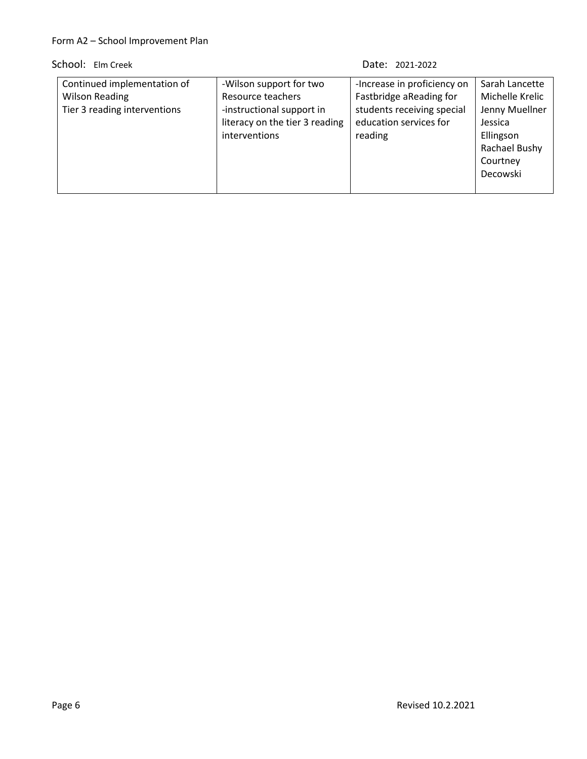| Continued implementation of  | -Wilson support for two        | -Increase in proficiency on | Sarah Lancette  |
|------------------------------|--------------------------------|-----------------------------|-----------------|
| <b>Wilson Reading</b>        | Resource teachers              | Fastbridge aReading for     | Michelle Krelic |
| Tier 3 reading interventions | -instructional support in      | students receiving special  | Jenny Muellner  |
|                              | literacy on the tier 3 reading | education services for      | Jessica         |
|                              | interventions                  | reading                     | Ellingson       |
|                              |                                |                             | Rachael Bushy   |
|                              |                                |                             | Courtney        |
|                              |                                |                             | Decowski        |
|                              |                                |                             |                 |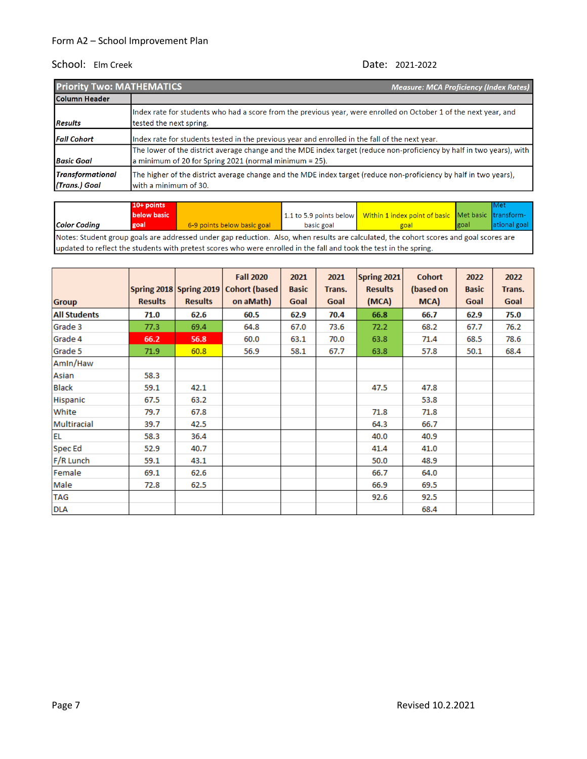| <b>Priority Two: MATHEMATICS</b>         | <b>Measure: MCA Proficiency (Index Rates)</b>                                                                                                                                      |
|------------------------------------------|------------------------------------------------------------------------------------------------------------------------------------------------------------------------------------|
| Column Header                            |                                                                                                                                                                                    |
| <b>Results</b>                           | Index rate for students who had a score from the previous year, were enrolled on October 1 of the next year, and<br>tested the next spring.                                        |
| <b>Fall Cohort</b>                       | Index rate for students tested in the previous year and enrolled in the fall of the next year.                                                                                     |
| <b>Basic Goal</b>                        | The lower of the district average change and the MDE index target (reduce non-proficiency by half in two years), with<br>a minimum of 20 for Spring 2021 (normal minimum $= 25$ ). |
| <b>Transformational</b><br>(Trans.) Goal | The higher of the district average change and the MDE index target (reduce non-proficiency by half in two years),<br>with a minimum of 30.                                         |

|                                                                                                                                        | 10+ points  |                             |            |                                                                                  |             | Met          |  |  |
|----------------------------------------------------------------------------------------------------------------------------------------|-------------|-----------------------------|------------|----------------------------------------------------------------------------------|-------------|--------------|--|--|
|                                                                                                                                        | below basic |                             |            | 1.1 to 5.9 points below   Within 1 index point of basic   Met basic   transform- |             |              |  |  |
| <b>Color Coding</b>                                                                                                                    | goal        | 6-9 points below basic goal | basic goal | goal                                                                             | <b>goal</b> | ational goal |  |  |
| Notes: Student group goals are addressed under gap reduction. Also, when results are calculated, the cohort scores and goal scores are |             |                             |            |                                                                                  |             |              |  |  |

updated to reflect the students with pretest scores who were enrolled in the fall and took the test in the spring.

|                     |                |                         | <b>Fall 2020</b>      | 2021         | 2021   | Spring 2021    | <b>Cohort</b> | 2022         | 2022   |
|---------------------|----------------|-------------------------|-----------------------|--------------|--------|----------------|---------------|--------------|--------|
|                     |                | Spring 2018 Spring 2019 | <b>Cohort (based)</b> | <b>Basic</b> | Trans. | <b>Results</b> | (based on     | <b>Basic</b> | Trans. |
| <b>Group</b>        | <b>Results</b> | <b>Results</b>          | on aMath)             | Goal         | Goal   | (MCA)          | MCA)          | Goal         | Goal   |
| <b>All Students</b> | 71.0           | 62.6                    | 60.5                  | 62.9         | 70.4   | 66.8           | 66.7          | 62.9         | 75.0   |
| Grade 3             | 77.3           | 69.4                    | 64.8                  | 67.0         | 73.6   | 72.2           | 68.2          | 67.7         | 76.2   |
| Grade 4             | 66.2           | 56.8                    | 60.0                  | 63.1         | 70.0   | 63.8           | 71.4          | 68.5         | 78.6   |
| Grade 5             | 71.9           | 60.8                    | 56.9                  | 58.1         | 67.7   | 63.8           | 57.8          | 50.1         | 68.4   |
| Amin/Haw            |                |                         |                       |              |        |                |               |              |        |
| Asian               | 58.3           |                         |                       |              |        |                |               |              |        |
| <b>Black</b>        | 59.1           | 42.1                    |                       |              |        | 47.5           | 47.8          |              |        |
| Hispanic            | 67.5           | 63.2                    |                       |              |        |                | 53.8          |              |        |
| White               | 79.7           | 67.8                    |                       |              |        | 71.8           | 71.8          |              |        |
| Multiracial         | 39.7           | 42.5                    |                       |              |        | 64.3           | 66.7          |              |        |
| <b>EL</b>           | 58.3           | 36.4                    |                       |              |        | 40.0           | 40.9          |              |        |
| Spec Ed             | 52.9           | 40.7                    |                       |              |        | 41.4           | 41.0          |              |        |
| F/R Lunch           | 59.1           | 43.1                    |                       |              |        | 50.0           | 48.9          |              |        |
| Female              | 69.1           | 62.6                    |                       |              |        | 66.7           | 64.0          |              |        |
| Male                | 72.8           | 62.5                    |                       |              |        | 66.9           | 69.5          |              |        |
| <b>TAG</b>          |                |                         |                       |              |        | 92.6           | 92.5          |              |        |
| <b>DLA</b>          |                |                         |                       |              |        |                | 68.4          |              |        |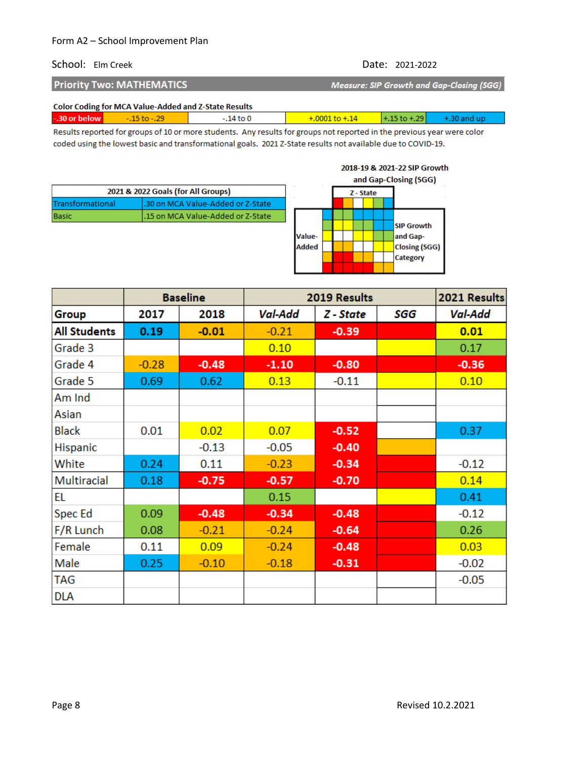### School: Elm Creek Date: 2021-2022

2018-19 & 2021-22 SIP Growth

| <b>Priority Two: MATHEMATICS</b>                     | Measure: SIP Growth and Gap-Closing (SGG) |
|------------------------------------------------------|-------------------------------------------|
| Color Coding for MCA Volum Added and 7 Chate Doculty |                                           |

| Color Coding for MCA Value-Added and Z-State Results |  |  |                  |  |  |  |  |
|------------------------------------------------------|--|--|------------------|--|--|--|--|
| -.30 or below                                        |  |  | $+0001$ to $+14$ |  |  |  |  |
|                                                      |  |  |                  |  |  |  |  |

Results reported for groups of 10 or more students. Any results for groups not reported in the previous year were color coded using the lowest basic and transformational goals. 2021 Z-State results not available due to COVID-19.

|                  |                                    |              |  |           |  | and Gap-Closing (SGG) |
|------------------|------------------------------------|--------------|--|-----------|--|-----------------------|
|                  | 2021 & 2022 Goals (for All Groups) |              |  | Z - State |  |                       |
| Transformational | .30 on MCA Value-Added or Z-State  |              |  |           |  |                       |
| Basic            | .15 on MCA Value-Added or Z-State  |              |  |           |  |                       |
|                  |                                    |              |  |           |  | <b>SIP Growth</b>     |
|                  |                                    | Value-       |  |           |  | and Gap-              |
|                  |                                    | <b>Added</b> |  |           |  | <b>Closing (SGG)</b>  |
|                  |                                    |              |  |           |  | Category              |
|                  |                                    |              |  |           |  |                       |

|                     |         | <b>Baseline</b> | 2019 Results |           |     | 2021 Results |
|---------------------|---------|-----------------|--------------|-----------|-----|--------------|
| Group               | 2017    | 2018            | Val-Add      | Z - State | SGG | Val-Add      |
| <b>All Students</b> | 0.19    | $-0.01$         | $-0.21$      | $-0.39$   |     | 0.01         |
| Grade 3             |         |                 | 0.10         |           |     | 0.17         |
| Grade 4             | $-0.28$ | $-0.48$         | $-1.10$      | $-0.80$   |     | $-0.36$      |
| Grade 5             | 0.69    | 0.62            | 0.13         | $-0.11$   |     | 0.10         |
| Am Ind              |         |                 |              |           |     |              |
| Asian               |         |                 |              |           |     |              |
| <b>Black</b>        | 0.01    | 0.02            | 0.07         | $-0.52$   |     | 0.37         |
| <b>Hispanic</b>     |         | $-0.13$         | $-0.05$      | $-0.40$   |     |              |
| White               | 0.24    | 0.11            | $-0.23$      | $-0.34$   |     | $-0.12$      |
| Multiracial         | 0.18    | $-0.75$         | $-0.57$      | $-0.70$   |     | 0.14         |
| EL                  |         |                 | 0.15         |           |     | 0.41         |
| Spec Ed             | 0.09    | $-0.48$         | $-0.34$      | $-0.48$   |     | $-0.12$      |
| F/R Lunch           | 0.08    | $-0.21$         | $-0.24$      | $-0.64$   |     | 0.26         |
| Female              | 0.11    | 0.09            | $-0.24$      | $-0.48$   |     | 0.03         |
| Male                | 0.25    | $-0.10$         | $-0.18$      | $-0.31$   |     | $-0.02$      |
| TAG                 |         |                 |              |           |     | $-0.05$      |
| <b>DLA</b>          |         |                 |              |           |     |              |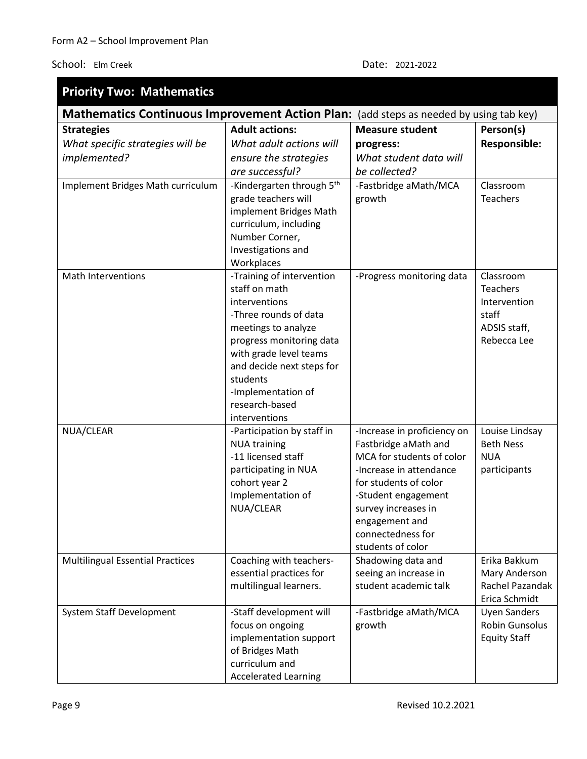| <b>Priority Two: Mathematics</b>                                                       |                             |                                                  |                       |  |  |  |  |
|----------------------------------------------------------------------------------------|-----------------------------|--------------------------------------------------|-----------------------|--|--|--|--|
| Mathematics Continuous Improvement Action Plan: (add steps as needed by using tab key) |                             |                                                  |                       |  |  |  |  |
| <b>Strategies</b>                                                                      | <b>Adult actions:</b>       | <b>Measure student</b>                           | Person(s)             |  |  |  |  |
| What specific strategies will be                                                       | What adult actions will     | progress:                                        | <b>Responsible:</b>   |  |  |  |  |
| implemented?                                                                           | ensure the strategies       | What student data will                           |                       |  |  |  |  |
|                                                                                        | are successful?             | be collected?                                    |                       |  |  |  |  |
| Implement Bridges Math curriculum                                                      | -Kindergarten through 5th   | -Fastbridge aMath/MCA                            | Classroom             |  |  |  |  |
|                                                                                        | grade teachers will         | growth                                           | Teachers              |  |  |  |  |
|                                                                                        | implement Bridges Math      |                                                  |                       |  |  |  |  |
|                                                                                        | curriculum, including       |                                                  |                       |  |  |  |  |
|                                                                                        | Number Corner,              |                                                  |                       |  |  |  |  |
|                                                                                        | Investigations and          |                                                  |                       |  |  |  |  |
|                                                                                        | Workplaces                  |                                                  |                       |  |  |  |  |
| <b>Math Interventions</b>                                                              | -Training of intervention   | -Progress monitoring data                        | Classroom             |  |  |  |  |
|                                                                                        | staff on math               |                                                  | <b>Teachers</b>       |  |  |  |  |
|                                                                                        | interventions               |                                                  | Intervention          |  |  |  |  |
|                                                                                        | -Three rounds of data       |                                                  | staff                 |  |  |  |  |
|                                                                                        | meetings to analyze         |                                                  | ADSIS staff,          |  |  |  |  |
|                                                                                        | progress monitoring data    |                                                  | Rebecca Lee           |  |  |  |  |
|                                                                                        | with grade level teams      |                                                  |                       |  |  |  |  |
|                                                                                        | and decide next steps for   |                                                  |                       |  |  |  |  |
|                                                                                        | students                    |                                                  |                       |  |  |  |  |
|                                                                                        | -Implementation of          |                                                  |                       |  |  |  |  |
|                                                                                        | research-based              |                                                  |                       |  |  |  |  |
|                                                                                        | interventions               |                                                  |                       |  |  |  |  |
| NUA/CLEAR                                                                              | -Participation by staff in  | -Increase in proficiency on                      | Louise Lindsay        |  |  |  |  |
|                                                                                        | <b>NUA training</b>         | Fastbridge aMath and                             | <b>Beth Ness</b>      |  |  |  |  |
|                                                                                        | -11 licensed staff          | MCA for students of color                        | <b>NUA</b>            |  |  |  |  |
|                                                                                        | participating in NUA        | -Increase in attendance<br>for students of color | participants          |  |  |  |  |
|                                                                                        | cohort year 2               |                                                  |                       |  |  |  |  |
|                                                                                        | Implementation of           | -Student engagement                              |                       |  |  |  |  |
|                                                                                        | NUA/CLEAR                   | survey increases in                              |                       |  |  |  |  |
|                                                                                        |                             | engagement and<br>connectedness for              |                       |  |  |  |  |
|                                                                                        |                             | students of color                                |                       |  |  |  |  |
| <b>Multilingual Essential Practices</b>                                                | Coaching with teachers-     | Shadowing data and                               | Erika Bakkum          |  |  |  |  |
|                                                                                        | essential practices for     | seeing an increase in                            | Mary Anderson         |  |  |  |  |
|                                                                                        | multilingual learners.      | student academic talk                            | Rachel Pazandak       |  |  |  |  |
|                                                                                        |                             |                                                  | Erica Schmidt         |  |  |  |  |
| System Staff Development                                                               | -Staff development will     | -Fastbridge aMath/MCA                            | <b>Uyen Sanders</b>   |  |  |  |  |
|                                                                                        | focus on ongoing            | growth                                           | <b>Robin Gunsolus</b> |  |  |  |  |
|                                                                                        | implementation support      |                                                  | <b>Equity Staff</b>   |  |  |  |  |
|                                                                                        | of Bridges Math             |                                                  |                       |  |  |  |  |
|                                                                                        | curriculum and              |                                                  |                       |  |  |  |  |
|                                                                                        | <b>Accelerated Learning</b> |                                                  |                       |  |  |  |  |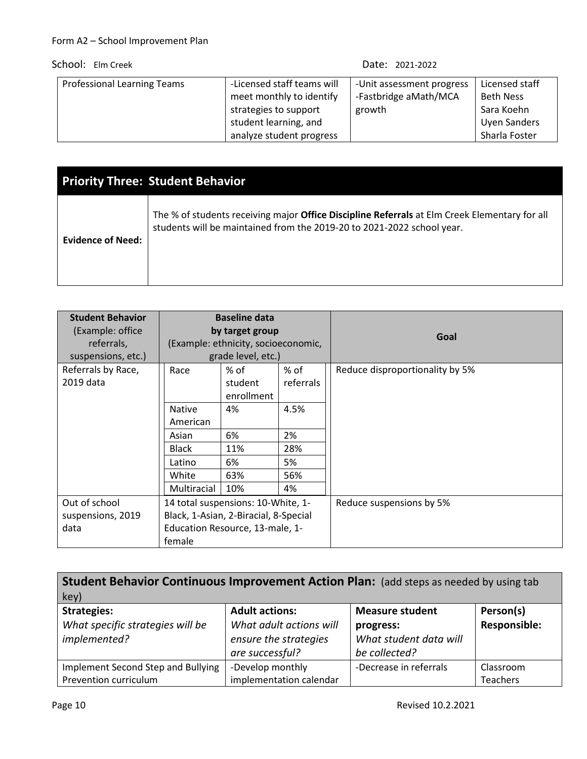| Professional Learning Teams | -Licensed staff teams will<br>meet monthly to identify<br>strategies to support<br>student learning, and | -Unit assessment progress<br>-Fastbridge aMath/MCA<br>growth | Licensed staff<br>Beth Ness<br>Sara Koehn<br><b>Uyen Sanders</b> |
|-----------------------------|----------------------------------------------------------------------------------------------------------|--------------------------------------------------------------|------------------------------------------------------------------|
|                             | analyze student progress                                                                                 |                                                              | Sharla Foster                                                    |

|                          | <b>Priority Three: Student Behavior</b>                                                                                                                                        |
|--------------------------|--------------------------------------------------------------------------------------------------------------------------------------------------------------------------------|
| <b>Evidence of Need:</b> | The % of students receiving major <b>Office Discipline Referrals</b> at Elm Creek Elementary for all<br>students will be maintained from the 2019-20 to 2021-2022 school year. |

| <b>Student Behavior</b> |                 | <b>Baseline data</b>                  |           |                                 |
|-------------------------|-----------------|---------------------------------------|-----------|---------------------------------|
| (Example: office        | by target group |                                       |           | Goal                            |
| referrals,              |                 | (Example: ethnicity, socioeconomic,   |           |                                 |
| suspensions, etc.)      |                 | grade level, etc.)                    |           |                                 |
| Referrals by Race,      | Race            | $%$ of                                | % of      | Reduce disproportionality by 5% |
| 2019 data               |                 | student                               | referrals |                                 |
|                         |                 | enrollment                            |           |                                 |
|                         | <b>Native</b>   | 4%                                    | 4.5%      |                                 |
|                         | American        |                                       |           |                                 |
|                         | Asian           | 6%                                    | 2%        |                                 |
|                         | Black           | 11%                                   | 28%       |                                 |
|                         | Latino          | 6%                                    | 5%        |                                 |
|                         | White           | 63%                                   | 56%       |                                 |
|                         | Multiracial     | 10%                                   | 4%        |                                 |
| Out of school           |                 | 14 total suspensions: 10-White, 1-    |           | Reduce suspensions by 5%        |
| suspensions, 2019       |                 | Black, 1-Asian, 2-Biracial, 8-Special |           |                                 |
| data                    |                 | Education Resource, 13-male, 1-       |           |                                 |
|                         | female          |                                       |           |                                 |

| <b>Student Behavior Continuous Improvement Action Plan:</b> (add steps as needed by using tab |                         |                        |                     |  |  |  |  |
|-----------------------------------------------------------------------------------------------|-------------------------|------------------------|---------------------|--|--|--|--|
| key)                                                                                          |                         |                        |                     |  |  |  |  |
| <b>Strategies:</b>                                                                            | <b>Adult actions:</b>   | <b>Measure student</b> | Person(s)           |  |  |  |  |
| What specific strategies will be                                                              | What adult actions will | progress:              | <b>Responsible:</b> |  |  |  |  |
| implemented?                                                                                  | ensure the strategies   | What student data will |                     |  |  |  |  |
|                                                                                               | are successful?         | be collected?          |                     |  |  |  |  |
| Implement Second Step and Bullying                                                            | -Develop monthly        | -Decrease in referrals | Classroom           |  |  |  |  |
| Prevention curriculum                                                                         | implementation calendar |                        | Teachers            |  |  |  |  |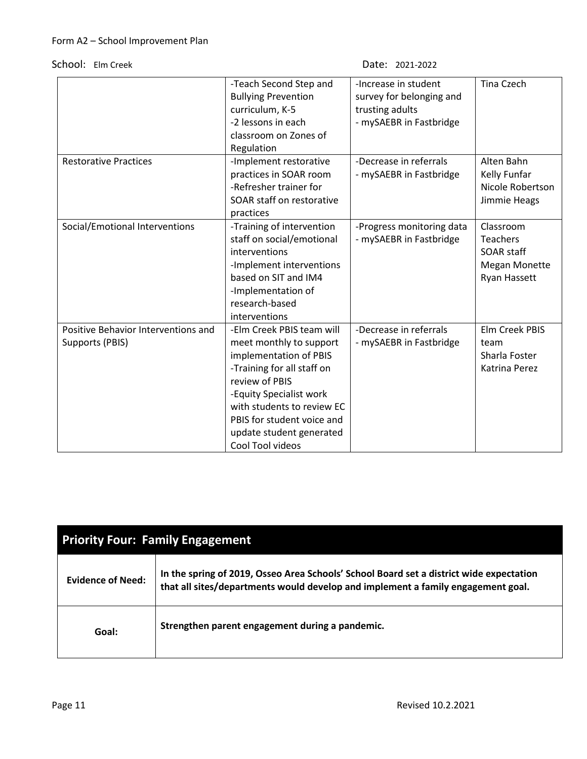```
Date: 2021-2022
```

|                                                        | -Teach Second Step and<br><b>Bullying Prevention</b><br>curriculum, K-5                                                                                                                                                                                               | -Increase in student<br>survey for belonging and<br>trusting adults | <b>Tina Czech</b>                                                                  |
|--------------------------------------------------------|-----------------------------------------------------------------------------------------------------------------------------------------------------------------------------------------------------------------------------------------------------------------------|---------------------------------------------------------------------|------------------------------------------------------------------------------------|
|                                                        | -2 lessons in each                                                                                                                                                                                                                                                    | - mySAEBR in Fastbridge                                             |                                                                                    |
|                                                        | classroom on Zones of                                                                                                                                                                                                                                                 |                                                                     |                                                                                    |
|                                                        | Regulation                                                                                                                                                                                                                                                            |                                                                     |                                                                                    |
| <b>Restorative Practices</b>                           | -Implement restorative<br>practices in SOAR room<br>-Refresher trainer for<br>SOAR staff on restorative<br>practices                                                                                                                                                  | -Decrease in referrals<br>- mySAEBR in Fastbridge                   | Alten Bahn<br>Kelly Funfar<br>Nicole Robertson<br>Jimmie Heags                     |
| Social/Emotional Interventions                         | -Training of intervention<br>staff on social/emotional<br>interventions<br>-Implement interventions<br>based on SIT and IM4<br>-Implementation of<br>research-based<br>interventions                                                                                  | -Progress monitoring data<br>- mySAEBR in Fastbridge                | Classroom<br><b>Teachers</b><br>SOAR staff<br><b>Megan Monette</b><br>Ryan Hassett |
| Positive Behavior Interventions and<br>Supports (PBIS) | -Elm Creek PBIS team will<br>meet monthly to support<br>implementation of PBIS<br>-Training for all staff on<br>review of PBIS<br>-Equity Specialist work<br>with students to review EC<br>PBIS for student voice and<br>update student generated<br>Cool Tool videos | -Decrease in referrals<br>- mySAEBR in Fastbridge                   | Elm Creek PBIS<br>team<br>Sharla Foster<br>Katrina Perez                           |

| <b>Priority Four: Family Engagement</b> |                                                                                                                                                                             |  |
|-----------------------------------------|-----------------------------------------------------------------------------------------------------------------------------------------------------------------------------|--|
| <b>Evidence of Need:</b>                | In the spring of 2019, Osseo Area Schools' School Board set a district wide expectation<br>that all sites/departments would develop and implement a family engagement goal. |  |
| Goal:                                   | Strengthen parent engagement during a pandemic.                                                                                                                             |  |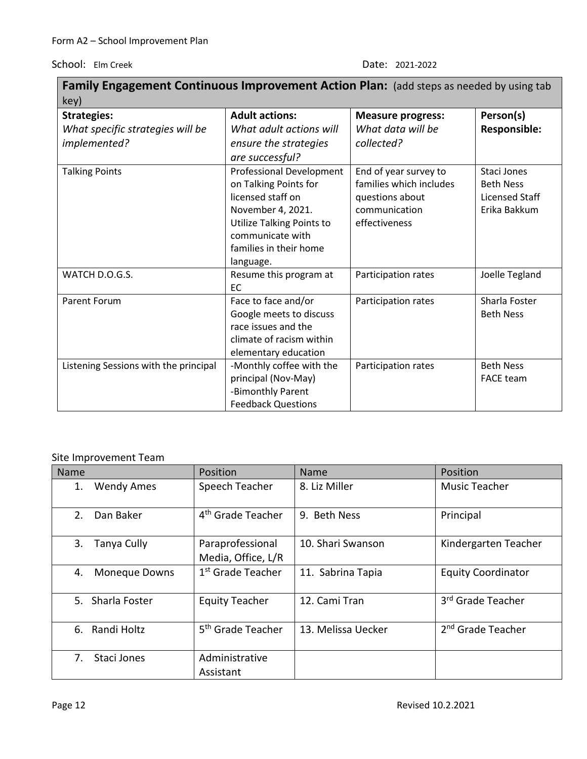| Family Engagement Continuous Improvement Action Plan: (add steps as needed by using tab |                           |                          |                     |  |
|-----------------------------------------------------------------------------------------|---------------------------|--------------------------|---------------------|--|
| key)                                                                                    |                           |                          |                     |  |
| <b>Strategies:</b>                                                                      | <b>Adult actions:</b>     | <b>Measure progress:</b> | Person(s)           |  |
| What specific strategies will be                                                        | What adult actions will   | What data will be        | <b>Responsible:</b> |  |
| implemented?                                                                            | ensure the strategies     | collected?               |                     |  |
|                                                                                         | are successful?           |                          |                     |  |
| <b>Talking Points</b>                                                                   | Professional Development  | End of year survey to    | Staci Jones         |  |
|                                                                                         | on Talking Points for     | families which includes  | <b>Beth Ness</b>    |  |
|                                                                                         | licensed staff on         | questions about          | Licensed Staff      |  |
|                                                                                         | November 4, 2021.         | communication            | Erika Bakkum        |  |
|                                                                                         | Utilize Talking Points to | effectiveness            |                     |  |
|                                                                                         | communicate with          |                          |                     |  |
|                                                                                         | families in their home    |                          |                     |  |
|                                                                                         | language.                 |                          |                     |  |
| WATCH D.O.G.S.                                                                          | Resume this program at    | Participation rates      | Joelle Tegland      |  |
|                                                                                         | EC                        |                          |                     |  |
| <b>Parent Forum</b>                                                                     | Face to face and/or       | Participation rates      | Sharla Foster       |  |
|                                                                                         | Google meets to discuss   |                          | <b>Beth Ness</b>    |  |
|                                                                                         | race issues and the       |                          |                     |  |
|                                                                                         | climate of racism within  |                          |                     |  |
|                                                                                         | elementary education      |                          |                     |  |
| Listening Sessions with the principal                                                   | -Monthly coffee with the  | Participation rates      | <b>Beth Ness</b>    |  |
|                                                                                         | principal (Nov-May)       |                          | <b>FACE team</b>    |  |
|                                                                                         | -Bimonthly Parent         |                          |                     |  |
|                                                                                         | <b>Feedback Questions</b> |                          |                     |  |

# Site Improvement Team

| Name |                   | Position                               | Name               | Position                      |
|------|-------------------|----------------------------------------|--------------------|-------------------------------|
| 1.   | <b>Wendy Ames</b> | Speech Teacher                         | 8. Liz Miller      | <b>Music Teacher</b>          |
| 2.   | Dan Baker         | 4 <sup>th</sup> Grade Teacher          | 9. Beth Ness       | Principal                     |
| 3.   | Tanya Cully       | Paraprofessional<br>Media, Office, L/R | 10. Shari Swanson  | Kindergarten Teacher          |
| 4.   | Moneque Downs     | 1 <sup>st</sup> Grade Teacher          | 11. Sabrina Tapia  | <b>Equity Coordinator</b>     |
|      | 5. Sharla Foster  | <b>Equity Teacher</b>                  | 12. Cami Tran      | 3rd Grade Teacher             |
|      | 6. Randi Holtz    | 5 <sup>th</sup> Grade Teacher          | 13. Melissa Uecker | 2 <sup>nd</sup> Grade Teacher |
| 7.   | Staci Jones       | Administrative<br>Assistant            |                    |                               |